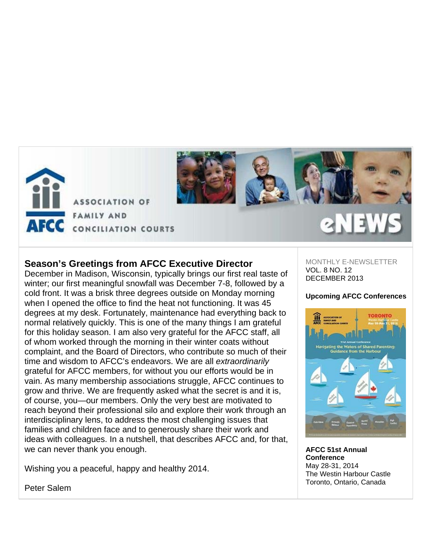



# **Season's Greetings from AFCC Executive Director**

December in Madison, Wisconsin, typically brings our first real taste of winter; our first meaningful snowfall was December 7-8, followed by a cold front. It was a brisk three degrees outside on Monday morning when I opened the office to find the heat not functioning. It was 45 degrees at my desk. Fortunately, maintenance had everything back to normal relatively quickly. This is one of the many things I am grateful for this holiday season. I am also very grateful for the AFCC staff, all of whom worked through the morning in their winter coats without complaint, and the Board of Directors, who contribute so much of their time and wisdom to AFCC's endeavors. We are all *extraordinarily*  grateful for AFCC members, for without you our efforts would be in vain. As many membership associations struggle, AFCC continues to grow and thrive. We are frequently asked what the secret is and it is, of course, you—our members. Only the very best are motivated to reach beyond their professional silo and explore their work through an interdisciplinary lens, to address the most challenging issues that families and children face and to generously share their work and ideas with colleagues. In a nutshell, that describes AFCC and, for that, we can never thank you enough.

Wishing you a peaceful, happy and healthy 2014.

MONTHLY E-NEWSLETTER VOL. 8 NO. 12 DECEMBER 2013

### **Upcoming AFCC Conferences**



**AFCC 51st Annual Conference** May 28-31, 2014 The Westin Harbour Castle Toronto, Ontario, Canada

Peter Salem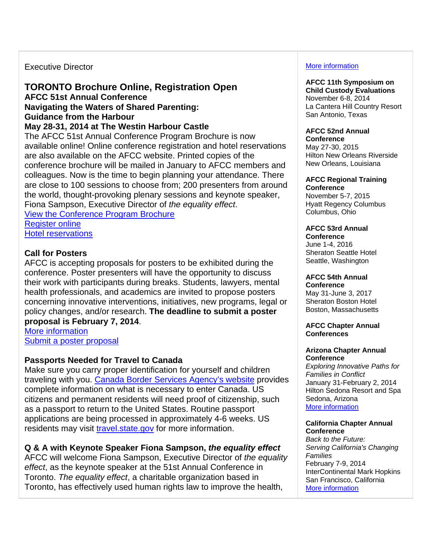# Executive Director

# **TORONTO Brochure Online, Registration Open AFCC 51st Annual Conference Navigating the Waters of Shared Parenting: Guidance from the Harbour May 28-31, 2014 at The Westin Harbour Castle**

The AFCC 51st Annual Conference Program Brochure is now available online! Online conference registration and hotel reservations are also available on the AFCC website. Printed copies of the conference brochure will be mailed in January to AFCC members and colleagues. Now is the time to begin planning your attendance. There are close to 100 sessions to choose from; 200 presenters from around the world, thought-provoking plenary sessions and keynote speaker, Fiona Sampson, Executive Director of *the equality effect*. View the Conference Program Brochure

Register online Hotel reservations

# **Call for Posters**

AFCC is accepting proposals for posters to be exhibited during the conference. Poster presenters will have the opportunity to discuss their work with participants during breaks. Students, lawyers, mental health professionals, and academics are invited to propose posters concerning innovative interventions, initiatives, new programs, legal or policy changes, and/or research. **The deadline to submit a poster proposal is February 7, 2014**.

More information Submit a poster proposal

# **Passports Needed for Travel to Canada**

Make sure you carry proper identification for yourself and children traveling with you. Canada Border Services Agency's website provides complete information on what is necessary to enter Canada. US citizens and permanent residents will need proof of citizenship, such as a passport to return to the United States. Routine passport applications are being processed in approximately 4-6 weeks. US residents may visit travel.state.gov for more information.

# **Q & A with Keynote Speaker Fiona Sampson,** *the equality effect*

AFCC will welcome Fiona Sampson, Executive Director of *the equality effect*, as the keynote speaker at the 51st Annual Conference in Toronto. *The equality effect*, a charitable organization based in Toronto, has effectively used human rights law to improve the health,

### More information

#### **AFCC 11th Symposium on Child Custody Evaluations** November 6-8, 2014

La Cantera Hill Country Resort San Antonio, Texas

#### **AFCC 52nd Annual Conference**

May 27-30, 2015 Hilton New Orleans Riverside New Orleans, Louisiana

#### **AFCC Regional Training Conference**

November 5-7, 2015 Hyatt Regency Columbus Columbus, Ohio

# **AFCC 53rd Annual**

**Conference** June 1-4, 2016 Sheraton Seattle Hotel Seattle, Washington

### **AFCC 54th Annual**

**Conference** May 31-June 3, 2017 Sheraton Boston Hotel Boston, Massachusetts

#### **AFCC Chapter Annual Conferences**

#### **Arizona Chapter Annual Conference**

*Exploring Innovative Paths for Families in Conflict* January 31-February 2, 2014 Hilton Sedona Resort and Spa Sedona, Arizona More information

#### **California Chapter Annual Conference**

*Back to the Future: Serving California's Changing Families* February 7-9, 2014 InterContinental Mark Hopkins San Francisco, California More information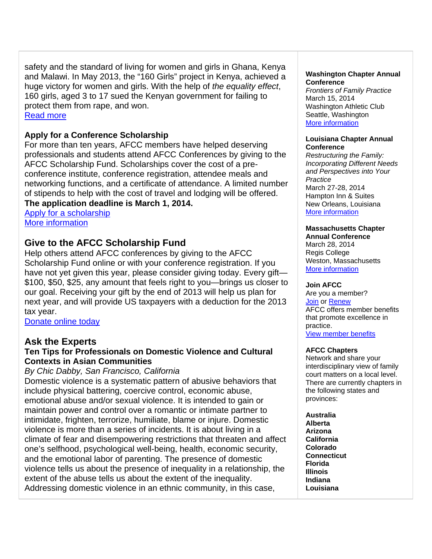safety and the standard of living for women and girls in Ghana, Kenya and Malawi. In May 2013, the "160 Girls" project in Kenya, achieved a huge victory for women and girls. With the help of *the equality effect*, 160 girls, aged 3 to 17 sued the Kenyan government for failing to protect them from rape, and won. Read more

# **Apply for a Conference Scholarship**

For more than ten years, AFCC members have helped deserving professionals and students attend AFCC Conferences by giving to the AFCC Scholarship Fund. Scholarships cover the cost of a preconference institute, conference registration, attendee meals and networking functions, and a certificate of attendance. A limited number of stipends to help with the cost of travel and lodging will be offered. **The application deadline is March 1, 2014.** 

Apply for a scholarship More information

# **Give to the AFCC Scholarship Fund**

Help others attend AFCC conferences by giving to the AFCC Scholarship Fund online or with your conference registration. If you have not yet given this year, please consider giving today. Every gift— \$100, \$50, \$25, any amount that feels right to you—brings us closer to our goal. Receiving your gift by the end of 2013 will help us plan for next year, and will provide US taxpayers with a deduction for the 2013 tax year.

Donate online today

# **Ask the Experts**

# **Ten Tips for Professionals on Domestic Violence and Cultural Contexts in Asian Communities**

*By Chic Dabby, San Francisco, California* 

Domestic violence is a systematic pattern of abusive behaviors that include physical battering, coercive control, economic abuse, emotional abuse and/or sexual violence. It is intended to gain or maintain power and control over a romantic or intimate partner to intimidate, frighten, terrorize, humiliate, blame or injure. Domestic violence is more than a series of incidents. It is about living in a climate of fear and disempowering restrictions that threaten and affect one's selfhood, psychological well-being, health, economic security, and the emotional labor of parenting. The presence of domestic violence tells us about the presence of inequality in a relationship, the extent of the abuse tells us about the extent of the inequality. Addressing domestic violence in an ethnic community, in this case,

#### **Washington Chapter Annual Conference**

*Frontiers of Family Practice* March 15, 2014 Washington Athletic Club Seattle, Washington More information

#### **Louisiana Chapter Annual Conference**

*Restructuring the Family: Incorporating Different Needs and Perspectives into Your Practice* March 27-28, 2014 Hampton Inn & Suites New Orleans, Louisiana More information

#### **Massachusetts Chapter Annual Conference**

March 28, 2014 Regis College Weston, Massachusetts More information

### **Join AFCC**

Are you a member? Join or Renew AFCC offers member benefits that promote excellence in practice. View member benefits

# **AFCC Chapters**

Network and share your interdisciplinary view of family court matters on a local level. There are currently chapters in the following states and provinces:

**Australia Alberta Arizona California Colorado Connecticut Florida Illinois Indiana Louisiana**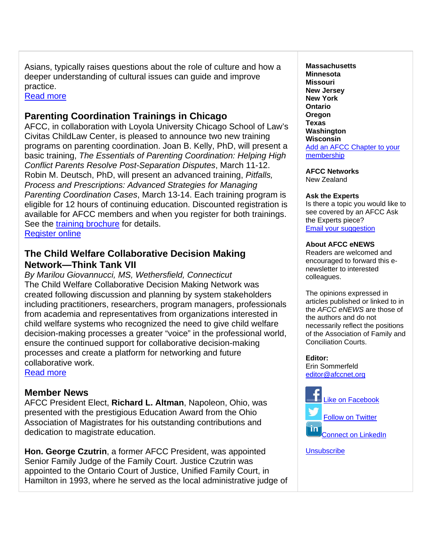Asians, typically raises questions about the role of culture and how a deeper understanding of cultural issues can guide and improve practice.

Read more

# **Parenting Coordination Trainings in Chicago**

AFCC, in collaboration with Loyola University Chicago School of Law's Civitas ChildLaw Center, is pleased to announce two new training programs on parenting coordination. Joan B. Kelly, PhD, will present a basic training, *The Essentials of Parenting Coordination: Helping High Conflict Parents Resolve Post-Separation Disputes*, March 11-12. Robin M. Deutsch, PhD, will present an advanced training, *Pitfalls, Process and Prescriptions: Advanced Strategies for Managing Parenting Coordination Cases*, March 13-14. Each training program is eligible for 12 hours of continuing education. Discounted registration is available for AFCC members and when you register for both trainings. See the training brochure for details. Register online

# **The Child Welfare Collaborative Decision Making Network—Think Tank VII**

*By Marilou Giovannucci, MS, Wethersfield, Connecticut* The Child Welfare Collaborative Decision Making Network was created following discussion and planning by system stakeholders including practitioners, researchers, program managers, professionals from academia and representatives from organizations interested in child welfare systems who recognized the need to give child welfare decision-making processes a greater "voice" in the professional world, ensure the continued support for collaborative decision-making processes and create a platform for networking and future collaborative work. Read more

**Member News** AFCC President Elect, **Richard L. Altman**, Napoleon, Ohio, was presented with the prestigious Education Award from the Ohio Association of Magistrates for his outstanding contributions and dedication to magistrate education.

**Hon. George Czutrin**, a former AFCC President, was appointed Senior Family Judge of the Family Court. Justice Czutrin was appointed to the Ontario Court of Justice, Unified Family Court, in Hamilton in 1993, where he served as the local administrative judge of **Massachusetts Minnesota Missouri New Jersey New York Ontario Oregon Texas Washington Wisconsin**  Add an AFCC Chapter to your membership

**AFCC Networks** 

New Zealand

# **Ask the Experts**

Is there a topic you would like to see covered by an AFCC Ask the Experts piece? Email your suggestion

# **About AFCC eNEWS**

Readers are welcomed and encouraged to forward this enewsletter to interested colleagues.

The opinions expressed in articles published or linked to in the *AFCC eNEWS* are those of the authors and do not necessarily reflect the positions of the Association of Family and Conciliation Courts.

**Editor:**  Erin Sommerfeld

editor@afccnet.org



**Unsubscribe**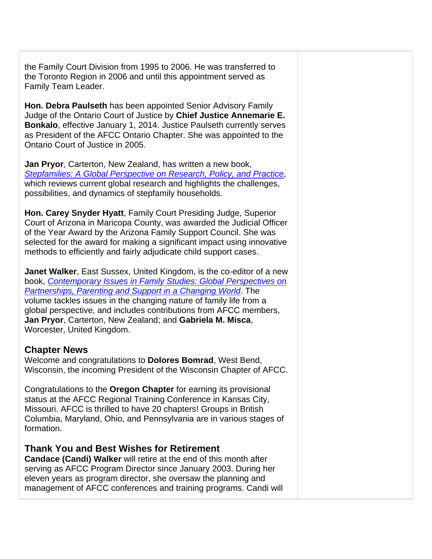the Family Court Division from 1995 to 2006. He was transferred to the Toronto Region in 2006 and until this appointment served as Family Team Leader.

**Hon. Debra Paulseth** has been appointed Senior Advisory Family Judge of the Ontario Court of Justice by **Chief Justice Annemarie E. Bonkalo**, effective January 1, 2014. Justice Paulseth currently serves as President of the AFCC Ontario Chapter. She was appointed to the Ontario Court of Justice in 2005.

**Jan Pryor**, Carterton, New Zealand, has written a new book, *Stepfamilies: A Global Perspective on Research, Policy, and Practice*, which reviews current global research and highlights the challenges, possibilities, and dynamics of stepfamily households.

**Hon. Carey Snyder Hyatt**, Family Court Presiding Judge, Superior Court of Arizona in Maricopa County, was awarded the Judicial Officer of the Year Award by the Arizona Family Support Council. She was selected for the award for making a significant impact using innovative methods to efficiently and fairly adjudicate child support cases.

**Janet Walker**, East Sussex, United Kingdom, is the co-editor of a new book, *Contemporary Issues in Family Studies: Global Perspectives on Partnerships, Parenting and Support in a Changing World*. The volume tackles issues in the changing nature of family life from a global perspective, and includes contributions from AFCC members, **Jan Pryor**, Carterton, New Zealand; and **Gabriela M. Misca**, Worcester, United Kingdom.

# **Chapter News**

Welcome and congratulations to **Dolores Bomrad**, West Bend, Wisconsin, the incoming President of the Wisconsin Chapter of AFCC.

Congratulations to the **Oregon Chapter** for earning its provisional status at the AFCC Regional Training Conference in Kansas City, Missouri. AFCC is thrilled to have 20 chapters! Groups in British Columbia, Maryland, Ohio, and Pennsylvania are in various stages of formation.

# **Thank You and Best Wishes for Retirement**

**Candace (Candi) Walker** will retire at the end of this month after serving as AFCC Program Director since January 2003. During her eleven years as program director, she oversaw the planning and management of AFCC conferences and training programs. Candi will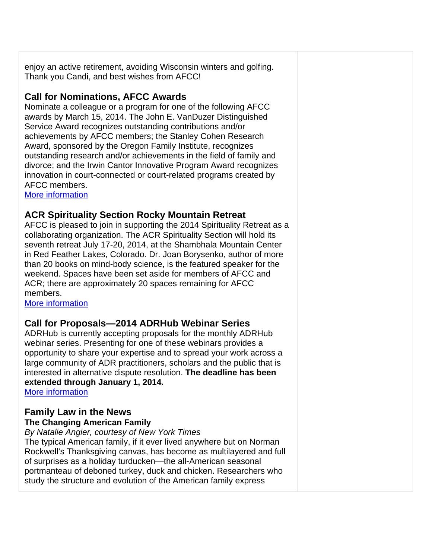enjoy an active retirement, avoiding Wisconsin winters and golfing. Thank you Candi, and best wishes from AFCC!

# **Call for Nominations, AFCC Awards**

Nominate a colleague or a program for one of the following AFCC awards by March 15, 2014. The John E. VanDuzer Distinguished Service Award recognizes outstanding contributions and/or achievements by AFCC members; the Stanley Cohen Research Award, sponsored by the Oregon Family Institute, recognizes outstanding research and/or achievements in the field of family and divorce; and the Irwin Cantor Innovative Program Award recognizes innovation in court-connected or court-related programs created by AFCC members.

More information

# **ACR Spirituality Section Rocky Mountain Retreat**

AFCC is pleased to join in supporting the 2014 Spirituality Retreat as a collaborating organization. The ACR Spirituality Section will hold its seventh retreat July 17-20, 2014, at the Shambhala Mountain Center in Red Feather Lakes, Colorado. Dr. Joan Borysenko, author of more than 20 books on mind-body science, is the featured speaker for the weekend. Spaces have been set aside for members of AFCC and ACR; there are approximately 20 spaces remaining for AFCC members.

More information

# **Call for Proposals—2014 ADRHub Webinar Series**

ADRHub is currently accepting proposals for the monthly ADRHub webinar series. Presenting for one of these webinars provides a opportunity to share your expertise and to spread your work across a large community of ADR practitioners, scholars and the public that is interested in alternative dispute resolution. **The deadline has been extended through January 1, 2014.** 

More information

# **Family Law in the News The Changing American Family**

*By Natalie Angier, courtesy of New York Times*

The typical American family, if it ever lived anywhere but on Norman Rockwell's Thanksgiving canvas, has become as multilayered and full of surprises as a holiday turducken—the all-American seasonal portmanteau of deboned turkey, duck and chicken. Researchers who study the structure and evolution of the American family express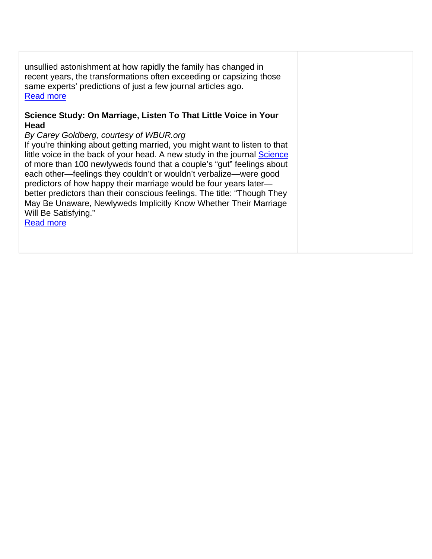unsullied astonishment at how rapidly the family has changed in recent years, the transformations often exceeding or capsizing those same experts' predictions of just a few journal articles ago. Read more

# **Science Study: On Marriage, Listen To That Little Voice in Your Head**

# *By Carey Goldberg, courtesy of WBUR.org*

If you're thinking about getting married, you might want to listen to that little voice in the back of your head. A new study in the journal **Science** of more than 100 newlyweds found that a couple's "gut" feelings about each other—feelings they couldn't or wouldn't verbalize—were good predictors of how happy their marriage would be four years later better predictors than their conscious feelings. The title: "Though They May Be Unaware, Newlyweds Implicitly Know Whether Their Marriage Will Be Satisfying."

Read more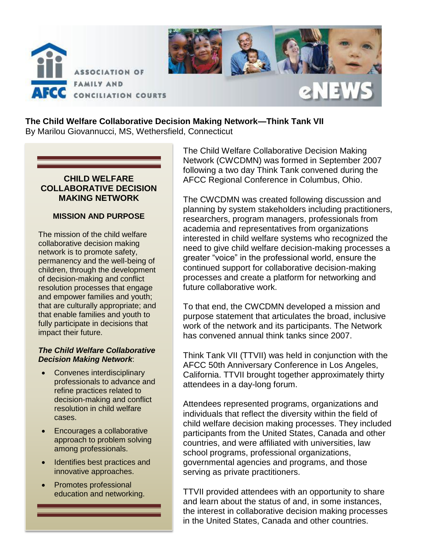

### **The Child Welfare Collaborative Decision Making Network—Think Tank VII**  By Marilou Giovannucci, MS, Wethersfield, Connecticut

# **CHILD WELFARE COLLABORATIVE DECISION MAKING NETWORK**

### **MISSION AND PURPOSE**

The mission of the child welfare collaborative decision making network is to promote safety, permanency and the well-being of children, through the development of decision-making and conflict resolution processes that engage and empower families and youth; that are culturally appropriate; and that enable families and youth to fully participate in decisions that impact their future.

#### *The Child Welfare Collaborative Decision Making Network*:

- Convenes interdisciplinary professionals to advance and refine practices related to decision-making and conflict resolution in child welfare cases.
- Encourages a collaborative approach to problem solving among professionals.
- Identifies best practices and innovative approaches.
- Promotes professional education and networking.

The Child Welfare Collaborative Decision Making Network (CWCDMN) was formed in September 2007 following a two day Think Tank convened during the AFCC Regional Conference in Columbus, Ohio.

The CWCDMN was created following discussion and planning by system stakeholders including practitioners, researchers, program managers, professionals from academia and representatives from organizations interested in child welfare systems who recognized the need to give child welfare decision-making processes a greater "voice" in the professional world, ensure the continued support for collaborative decision-making processes and create a platform for networking and future collaborative work.

To that end, the CWCDMN developed a mission and purpose statement that articulates the broad, inclusive work of the network and its participants. The Network has convened annual think tanks since 2007.

Think Tank VII (TTVII) was held in conjunction with the AFCC 50th Anniversary Conference in Los Angeles, California. TTVII brought together approximately thirty attendees in a day-long forum.

Attendees represented programs, organizations and individuals that reflect the diversity within the field of child welfare decision making processes. They included participants from the United States, Canada and other countries, and were affiliated with universities, law school programs, professional organizations, governmental agencies and programs, and those serving as private practitioners.

TTVII provided attendees with an opportunity to share and learn about the status of and, in some instances, the interest in collaborative decision making processes in the United States, Canada and other countries.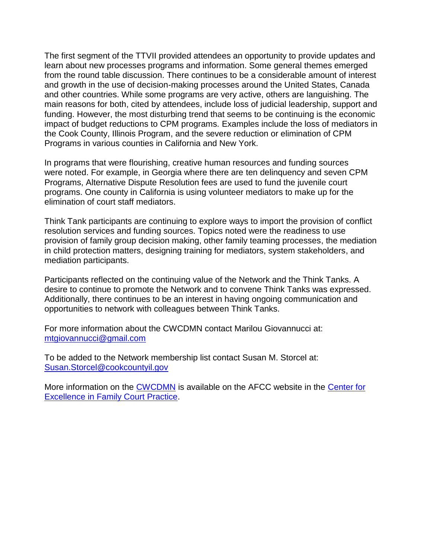The first segment of the TTVII provided attendees an opportunity to provide updates and learn about new processes programs and information. Some general themes emerged from the round table discussion. There continues to be a considerable amount of interest and growth in the use of decision-making processes around the United States, Canada and other countries. While some programs are very active, others are languishing. The main reasons for both, cited by attendees, include loss of judicial leadership, support and funding. However, the most disturbing trend that seems to be continuing is the economic impact of budget reductions to CPM programs. Examples include the loss of mediators in the Cook County, Illinois Program, and the severe reduction or elimination of CPM Programs in various counties in California and New York.

In programs that were flourishing, creative human resources and funding sources were noted. For example, in Georgia where there are ten delinquency and seven CPM Programs, Alternative Dispute Resolution fees are used to fund the juvenile court programs. One county in California is using volunteer mediators to make up for the elimination of court staff mediators.

Think Tank participants are continuing to explore ways to import the provision of conflict resolution services and funding sources. Topics noted were the readiness to use provision of family group decision making, other family teaming processes, the mediation in child protection matters, designing training for mediators, system stakeholders, and mediation participants.

Participants reflected on the continuing value of the Network and the Think Tanks. A desire to continue to promote the Network and to convene Think Tanks was expressed. Additionally, there continues to be an interest in having ongoing communication and opportunities to network with colleagues between Think Tanks.

For more information about the CWCDMN contact Marilou Giovannucci at: [mtgiovannucci@gmail.com](mailto:mtgiovannucci@gmail.com)

To be added to the Network membership list contact Susan M. Storcel at: [Susan.Storcel@cookcountyil.gov](mailto:Susan.Storcel@cookcountyil.gov)

More information on the [CWCDMN](http://www.afccnet.org/ResourceCenter/CenterforExcellenceinFamilyCourtPractice/ctl/ViewCommittee/CommitteeID/13/mid/495) is available on the AFCC website in the [Center for](http://www.afccnet.org/ResourceCenter/CenterforExcellenceinFamilyCourtPractice.aspx)  [Excellence in Family Court Practice.](http://www.afccnet.org/ResourceCenter/CenterforExcellenceinFamilyCourtPractice.aspx)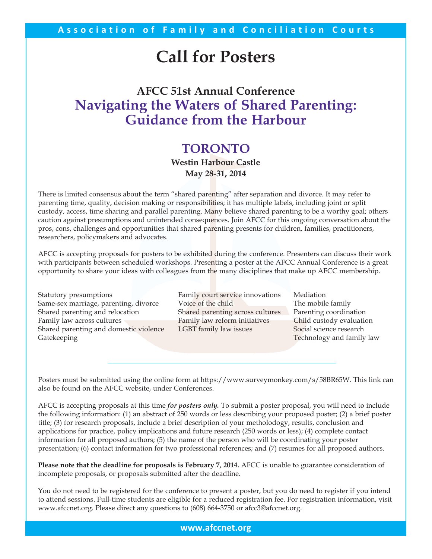# **Call for Posters**

# **AFCC 51st Annual Conference Navigating the Waters of Shared Parenting: Guidance from the Harbour**

# **TORONTO**

**Westin Harbour Castle May 28-31, 2014**

There is limited consensus about the term "shared parenting" after separation and divorce. It may refer to parenting time, quality, decision making or responsibilities; it has multiple labels, including joint or split custody, access, time sharing and parallel parenting. Many believe shared parenting to be a worthy goal; others caution against presumptions and unintended consequences. Join AFCC for this ongoing conversation about the pros, cons, challenges and opportunities that shared parenting presents for children, families, practitioners, researchers, policymakers and advocates.

AFCC is accepting proposals for posters to be exhibited during the conference. Presenters can discuss their work with participants between scheduled workshops. Presenting a poster at the AFCC Annual Conference is a great opportunity to share your ideas with colleagues from the many disciplines that make up AFCC membership.

| Statutory presumptions                 | Family court service innovations | Mediation                 |
|----------------------------------------|----------------------------------|---------------------------|
| Same-sex marriage, parenting, divorce  | Voice of the child               | The mobile family         |
| Shared parenting and relocation        | Shared parenting across cultures | Parenting coordination    |
| Family law across cultures             | Family law reform initiatives    | Child custody evaluation  |
| Shared parenting and domestic violence | LGBT family law issues           | Social science research   |
| Gatekeeping                            |                                  | Technology and family law |
|                                        |                                  |                           |

Posters must be submitted using the online form at https://www.surveymonkey.com/s/58BR65W. This link can also be found on the AFCC website, under Conferences.

AFCC is accepting proposals at this time *for posters only.* To submit a poster proposal, you will need to include the following information: (1) an abstract of 250 words or less describing your proposed poster; (2) a brief poster title; (3) for research proposals, include a brief description of your metholodogy, results, conclusion and applications for practice, policy implications and future research (250 words or less); (4) complete contact information for all proposed authors; (5) the name of the person who will be coordinating your poster presentation; (6) contact information for two professional references; and (7) resumes for all proposed authors.

**Please note that the deadline for proposals is February 7, 2014.** AFCC is unable to guarantee consideration of incomplete proposals, or proposals submitted after the deadline.

You do not need to be registered for the conference to present a poster, but you do need to register if you intend to attend sessions. Full-time students are eligible for a reduced registration fee. For registration information, visit www.afccnet.org. Please direct any questions to (608) 664-3750 or afcc3@afccnet.org.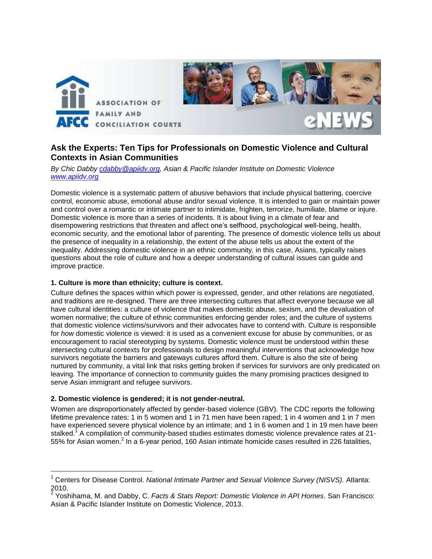

# **Ask the Experts: Ten Tips for Professionals on Domestic Violence and Cultural Contexts in Asian Communities**

*By Chic Dabby [cdabby@apiidv.org,](mailto:cdabby@apiidv.org) Asian & Pacific Islander Institute on Domestic Violence [www.apiidv.org](http://www.apiidv.org/)* 

Domestic violence is a systematic pattern of abusive behaviors that include physical battering, coercive control, economic abuse, emotional abuse and/or sexual violence. It is intended to gain or maintain power and control over a romantic or intimate partner to intimidate, frighten, terrorize, humiliate, blame or injure. Domestic violence is more than a series of incidents. It is about living in a climate of fear and disempowering restrictions that threaten and affect one's selfhood, psychological well-being, health, economic security, and the emotional labor of parenting. The presence of domestic violence tells us about the presence of inequality in a relationship, the extent of the abuse tells us about the extent of the inequality. Addressing domestic violence in an ethnic community, in this case, Asians, typically raises questions about the role of culture and how a deeper understanding of cultural issues can guide and improve practice.

#### **1. Culture is more than ethnicity; culture is context.**

Culture defines the spaces within which power is expressed, gender, and other relations are negotiated, and traditions are re-designed. There are three intersecting cultures that affect everyone because we all have cultural identities: a culture of violence that makes domestic abuse, sexism, and the devaluation of women normative; the culture of ethnic communities enforcing gender roles; and the culture of systems that domestic violence victims/survivors and their advocates have to contend with. Culture is responsible for *how* domestic violence is viewed: it is used as a convenient excuse for abuse by communities, or as encouragement to racial stereotyping by systems. Domestic violence must be understood within these intersecting cultural contexts for professionals to design meaningful interventions that acknowledge how survivors negotiate the barriers and gateways cultures afford them. Culture is also the site of being nurtured by community, a vital link that risks getting broken if services for survivors are only predicated on leaving. The importance of connection to community guides the many promising practices designed to serve Asian immigrant and refugee survivors.

#### **2. Domestic violence is gendered; it is not gender-neutral.**

 $\overline{a}$ 

Women are disproportionately affected by gender-based violence (GBV). The CDC reports the following lifetime prevalence rates: 1 in 5 women and 1 in 71 men have been raped; 1 in 4 women and 1 in 7 men have experienced severe physical violence by an intimate; and 1 in 6 women and 1 in 19 men have been stalked.<sup>1</sup> A compilation of community-based studies estimates domestic violence prevalence rates at 21-55% for Asian women.<sup>2</sup> In a 6-year period, 160 Asian intimate homicide cases resulted in 226 fatalities,

<sup>1</sup> Centers for Disease Control. *National Intimate Partner and Sexual Violence Survey (NISVS).* Atlanta:  $^{2010.}$ 

Yoshihama, M. and Dabby, C. *Facts & Stats Report: Domestic Violence in API Homes*. San Francisco: Asian & Pacific Islander Institute on Domestic Violence, 2013.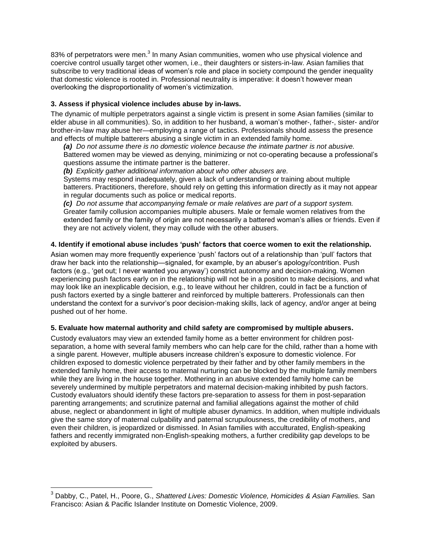83% of perpetrators were men.<sup>3</sup> In many Asian communities, women who use physical violence and coercive control usually target other women, i.e., their daughters or sisters-in-law. Asian families that subscribe to very traditional ideas of women's role and place in society compound the gender inequality that domestic violence is rooted in. Professional neutrality is imperative: it doesn't however mean overlooking the disproportionality of women's victimization.

#### **3. Assess if physical violence includes abuse by in-laws.**

The dynamic of multiple perpetrators against a single victim is present in some Asian families (similar to elder abuse in all communities). So, in addition to her husband, a woman's mother-, father-, sister- and/or brother-in-law may abuse her—employing a range of tactics. Professionals should assess the presence and effects of multiple batterers abusing a single victim in an extended family home.

*(a) Do not assume there is no domestic violence because the intimate partner is not abusive.* Battered women may be viewed as denying, minimizing or not co-operating because a professional's questions assume the intimate partner is the batterer.

*(b) Explicitly gather additional information about who other abusers are.*

Systems may respond inadequately, given a lack of understanding or training about multiple batterers. Practitioners, therefore, should rely on getting this information directly as it may not appear in regular documents such as police or medical reports.

*(c) Do not assume that accompanying female or male relatives are part of a support system.* Greater family collusion accompanies multiple abusers. Male or female women relatives from the extended family or the family of origin are not necessarily a battered woman's allies or friends. Even if they are not actively violent, they may collude with the other abusers.

#### **4. Identify if emotional abuse includes 'push' factors that coerce women to exit the relationship.**

Asian women may more frequently experience 'push' factors out of a relationship than 'pull' factors that draw her back into the relationship—signaled, for example, by an abuser's apology/contrition. Push factors (e.g., 'get out; I never wanted you anyway') constrict autonomy and decision-making. Women experiencing push factors early on in the relationship will not be in a position to make decisions, and what may look like an inexplicable decision, e.g., to leave without her children, could in fact be a function of push factors exerted by a single batterer and reinforced by multiple batterers. Professionals can then understand the context for a survivor's poor decision-making skills, lack of agency, and/or anger at being pushed out of her home.

#### **5. Evaluate how maternal authority and child safety are compromised by multiple abusers.**

Custody evaluators may view an extended family home as a better environment for children postseparation, a home with several family members who can help care for the child, rather than a home with a single parent. However, multiple abusers increase children's exposure to domestic violence. For children exposed to domestic violence perpetrated by their father and by other family members in the extended family home, their access to maternal nurturing can be blocked by the multiple family members while they are living in the house together. Mothering in an abusive extended family home can be severely undermined by multiple perpetrators and maternal decision-making inhibited by push factors. Custody evaluators should identify these factors pre-separation to assess for them in post-separation parenting arrangements; and scrutinize paternal and familial allegations against the mother of child abuse, neglect or abandonment in light of multiple abuser dynamics. In addition, when multiple individuals give the same story of maternal culpability and paternal scrupulousness, the credibility of mothers, and even their children, is jeopardized or dismissed. In Asian families with acculturated, English-speaking fathers and recently immigrated non-English-speaking mothers, a further credibility gap develops to be exploited by abusers.

 $\overline{a}$ 

<sup>3</sup> Dabby, C., Patel, H., Poore, G., *Shattered Lives: Domestic Violence, Homicides & Asian Families.* San Francisco: Asian & Pacific Islander Institute on Domestic Violence, 2009.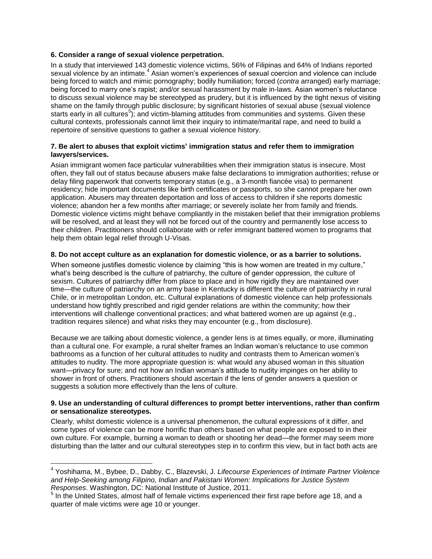#### **6. Consider a range of sexual violence perpetration.**

In a study that interviewed 143 domestic violence victims, 56% of Filipinas and 64% of Indians reported sexual violence by an intimate.<sup>4</sup> Asian women's experiences of sexual coercion and violence can include being forced to watch and mimic pornography; bodily humiliation; forced (*contra* arranged) early marriage; being forced to marry one's rapist; and/or sexual harassment by male in-laws. Asian women's reluctance to discuss sexual violence may be stereotyped as prudery, but it is influenced by the tight nexus of visiting shame on the family through public disclosure; by significant histories of sexual abuse (sexual violence starts early in all cultures<sup>5</sup>), and victim-blaming attitudes from communities and systems. Given these cultural contexts, professionals cannot limit their inquiry to intimate/marital rape, and need to build a repertoire of sensitive questions to gather a sexual violence history.

#### **7. Be alert to abuses that exploit victims' immigration status and refer them to immigration lawyers/services.**

Asian immigrant women face particular vulnerabilities when their immigration status is insecure. Most often, they fall out of status because abusers make false declarations to immigration authorities; refuse or delay filing paperwork that converts temporary status (e.g., a 3-month fiancée visa) to permanent residency; hide important documents like birth certificates or passports, so she cannot prepare her own application. Abusers may threaten deportation and loss of access to children if she reports domestic violence; abandon her a few months after marriage; or severely isolate her from family and friends. Domestic violence victims might behave compliantly in the mistaken belief that their immigration problems will be resolved, and at least they will not be forced out of the country and permanently lose access to their children. Practitioners should collaborate with or refer immigrant battered women to programs that help them obtain legal relief through U-Visas.

#### **8. Do not accept culture as an explanation for domestic violence, or as a barrier to solutions.**

When someone justifies domestic violence by claiming "this is how women are treated in my culture," what's being described is the culture of patriarchy, the culture of gender oppression, the culture of sexism. Cultures of patriarchy differ from place to place and in how rigidly they are maintained over time—the culture of patriarchy on an army base in Kentucky is different the culture of patriarchy in rural Chile, or in metropolitan London, etc. Cultural explanations of domestic violence can help professionals understand how tightly prescribed and rigid gender relations are within the community; how their interventions will challenge conventional practices; and what battered women are up against (e.g., tradition requires silence) and what risks they may encounter (e.g., from disclosure).

Because we are talking about domestic violence, a gender lens is at times equally, or more, illuminating than a cultural one. For example, a rural shelter frames an Indian woman's reluctance to use common bathrooms as a function of her cultural attitudes to nudity and contrasts them to American women's attitudes to nudity. The more appropriate question is: what would any abused woman in this situation want—privacy for sure; and not how an Indian woman's attitude to nudity impinges on her ability to shower in front of others. Practitioners should ascertain if the lens of gender answers a question or suggests a solution more effectively than the lens of culture.

#### **9. Use an understanding of cultural differences to prompt better interventions, rather than confirm or sensationalize stereotypes.**

Clearly, whilst domestic violence is a universal phenomenon, the cultural expressions of it differ, and some types of violence can be more horrific than others based on what people are exposed to in their own culture. For example, burning a woman to death or shooting her dead—the former may seem more disturbing than the latter and our cultural stereotypes step in to confirm this view, but in fact both acts are

 4 Yoshihama, M., Bybee, D., Dabby, C., Blazevski, J. *Lifecourse Experiences of Intimate Partner Violence and Help-Seeking among Filipino, Indian and Pakistani Women: Implications for Justice System Responses*. Washington, DC: National Institute of Justice, 2011.

<sup>&</sup>lt;sup>5</sup> In the United States, almost half of female victims experienced their first rape before age 18, and a quarter of male victims were age 10 or younger.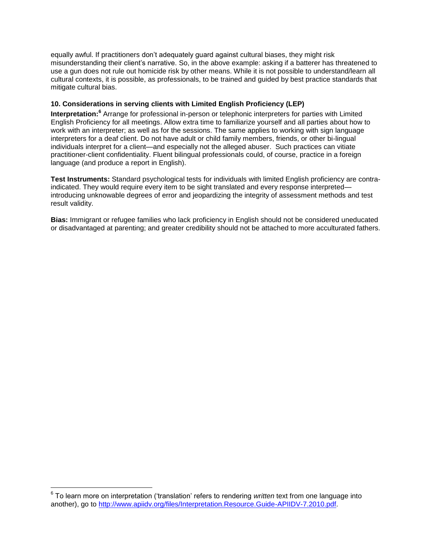equally awful. If practitioners don't adequately guard against cultural biases, they might risk misunderstanding their client's narrative. So, in the above example: asking if a batterer has threatened to use a gun does not rule out homicide risk by other means. While it is not possible to understand/learn all cultural contexts, it is possible, as professionals, to be trained and guided by best practice standards that mitigate cultural bias.

#### **10. Considerations in serving clients with Limited English Proficiency (LEP)**

Interpretation:<sup>6</sup> Arrange for professional in-person or telephonic interpreters for parties with Limited English Proficiency for all meetings. Allow extra time to familiarize yourself and all parties about how to work with an interpreter; as well as for the sessions. The same applies to working with sign language interpreters for a deaf client. Do not have adult or child family members, friends, or other bi-lingual individuals interpret for a client—and especially not the alleged abuser. Such practices can vitiate practitioner-client confidentiality. Fluent bilingual professionals could, of course, practice in a foreign language (and produce a report in English).

**Test Instruments:** Standard psychological tests for individuals with limited English proficiency are contraindicated. They would require every item to be sight translated and every response interpreted introducing unknowable degrees of error and jeopardizing the integrity of assessment methods and test result validity.

**Bias:** Immigrant or refugee families who lack proficiency in English should not be considered uneducated or disadvantaged at parenting; and greater credibility should not be attached to more acculturated fathers.

 6 To learn more on interpretation ('translation' refers to rendering *written* text from one language into another), go to [http://www.apiidv.org/files/Interpretation.Resource.Guide-APIIDV-7.2010.pdf.](http://www.apiidv.org/files/Interpretation.Resource.Guide-APIIDV-7.2010.pdf)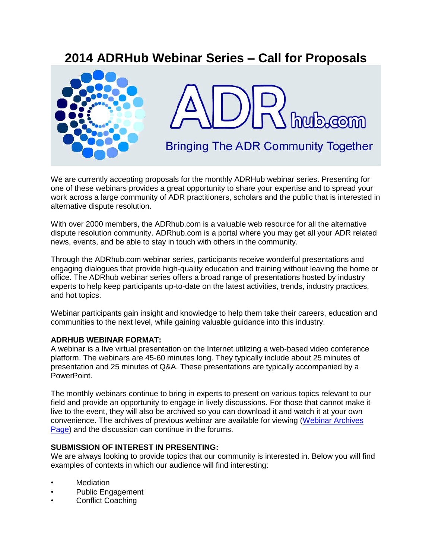# **2014 ADRHub Webinar Series – Call for Proposals**



We are currently accepting proposals for the monthly ADRHub webinar series. Presenting for one of these webinars provides a great opportunity to share your expertise and to spread your work across a large community of ADR practitioners, scholars and the public that is interested in alternative dispute resolution.

With over 2000 members, the ADRhub.com is a valuable web resource for all the alternative dispute resolution community. ADRhub.com is a portal where you may get all your ADR related news, events, and be able to stay in touch with others in the community.

Through the ADRhub.com webinar series, participants receive wonderful presentations and engaging dialogues that provide high-quality education and training without leaving the home or office. The ADRhub webinar series offers a broad range of presentations hosted by industry experts to help keep participants up-to-date on the latest activities, trends, industry practices, and hot topics.

Webinar participants gain insight and knowledge to help them take their careers, education and communities to the next level, while gaining valuable guidance into this industry.

### **ADRHUB WEBINAR FORMAT:**

A webinar is a live virtual presentation on the Internet utilizing a web-based video conference platform. The webinars are 45-60 minutes long. They typically include about 25 minutes of presentation and 25 minutes of Q&A. These presentations are typically accompanied by a PowerPoint.

The monthly webinars continue to bring in experts to present on various topics relevant to our field and provide an opportunity to engage in lively discussions. For those that cannot make it live to the event, they will also be archived so you can download it and watch it at your own convenience. The archives of previous webinar are available for viewing [\(Webinar Archives](http://www.adrhub.com/forum/categories/adrhub-webinars/listForCategory)  [Page\)](http://www.adrhub.com/forum/categories/adrhub-webinars/listForCategory) and the discussion can continue in the forums.

### **SUBMISSION OF INTEREST IN PRESENTING:**

We are always looking to provide topics that our community is interested in. Below you will find examples of contexts in which our audience will find interesting:

- **Mediation**
- Public Engagement
- Conflict Coaching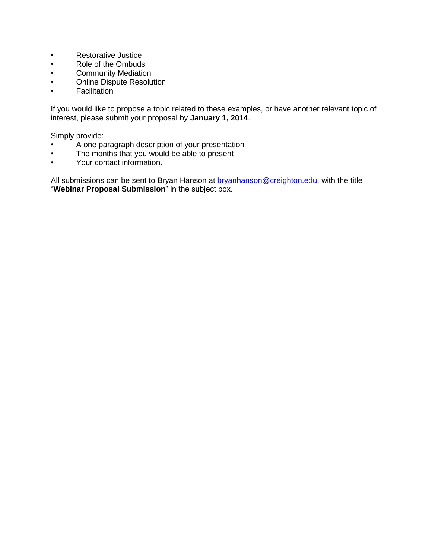- Restorative Justice
- Role of the Ombuds
- Community Mediation<br>• Online Dispute Resolu
- Online Dispute Resolution
- Facilitation

If you would like to propose a topic related to these examples, or have another relevant topic of interest, please submit your proposal by **January 1, 2014**.

Simply provide:

- A one paragraph description of your presentation
- The months that you would be able to present
- Your contact information.

All submissions can be sent to Bryan Hanson at **bryanhanson@creighton.edu**, with the title "**Webinar Proposal Submission**" in the subject box.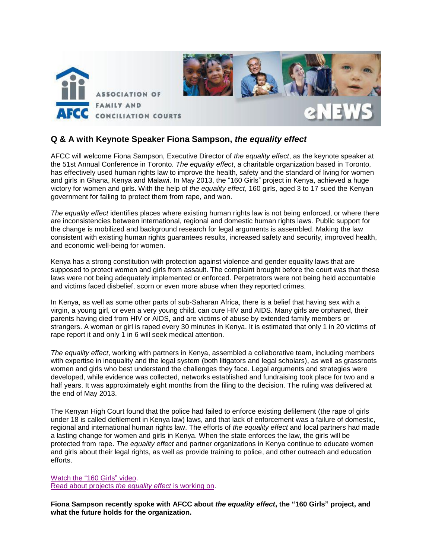

# **Q & A with Keynote Speaker Fiona Sampson,** *the equality effect*

AFCC will welcome Fiona Sampson, Executive Director of *the equality effect*, as the keynote speaker at the 51st Annual Conference in Toronto. *The equality effect*, a charitable organization based in Toronto, has effectively used human rights law to improve the health, safety and the standard of living for women and girls in Ghana, Kenya and Malawi. In May 2013, the "160 Girls" project in Kenya, achieved a huge victory for women and girls. With the help of *the equality effect*, 160 girls, aged 3 to 17 sued the Kenyan government for failing to protect them from rape, and won.

*The equality effect* identifies places where existing human rights law is not being enforced, or where there are inconsistencies between international, regional and domestic human rights laws. Public support for the change is mobilized and background research for legal arguments is assembled. Making the law consistent with existing human rights guarantees results, increased safety and security, improved health, and economic well-being for women.

Kenya has a strong constitution with protection against violence and gender equality laws that are supposed to protect women and girls from assault. The complaint brought before the court was that these laws were not being adequately implemented or enforced. Perpetrators were not being held accountable and victims faced disbelief, scorn or even more abuse when they reported crimes.

In Kenya, as well as some other parts of sub-Saharan Africa, there is a belief that having sex with a virgin, a young girl, or even a very young child, can cure HIV and AIDS. Many girls are orphaned, their parents having died from HIV or AIDS, and are victims of abuse by extended family members or strangers. A woman or girl is raped every 30 minutes in Kenya. It is estimated that only 1 in 20 victims of rape report it and only 1 in 6 will seek medical attention.

*The equality effect*, working with partners in Kenya, assembled a collaborative team, including members with expertise in inequality and the legal system (both litigators and legal scholars), as well as grassroots women and girls who best understand the challenges they face. Legal arguments and strategies were developed, while evidence was collected, networks established and fundraising took place for two and a half years. It was approximately eight months from the filing to the decision. The ruling was delivered at the end of May 2013.

The Kenyan High Court found that the police had failed to enforce existing defilement (the rape of girls under 18 is called defilement in Kenya law) laws, and that lack of enforcement was a failure of domestic, regional and international human rights law. The efforts of *the equality effect* and local partners had made a lasting change for women and girls in Kenya. When the state enforces the law, the girls will be protected from rape. *The equality effect* and partner organizations in Kenya continue to educate women and girls about their legal rights, as well as provide training to police, and other outreach and education efforts.

[Watch the "160 Girls"](http://theequalityeffect.org/160-girls-video/) video. [Read about projects](http://theequalityeffect.org/projects-2/) *the equality effect* is working on.

**Fiona Sampson recently spoke with AFCC about** *the equality effect***, the "160 Girls" project, and what the future holds for the organization.**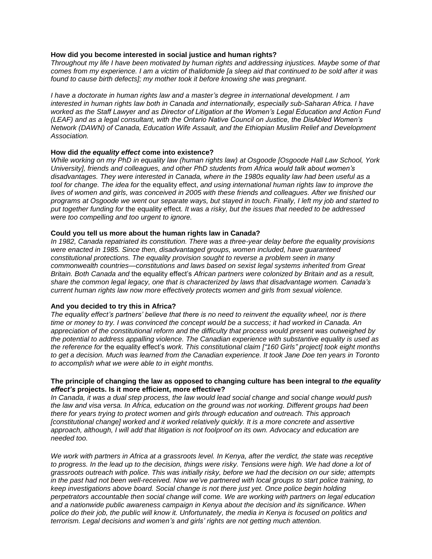#### **How did you become interested in social justice and human rights?**

*Throughout my life I have been motivated by human rights and addressing injustices. Maybe some of that comes from my experience. I am a victim of thalidomide [a sleep aid that continued to be sold after it was found to cause birth defects]; my mother took it before knowing she was pregnant.*

*I have a doctorate in human rights law and a master's degree in international development. I am interested in human rights law both in Canada and internationally, especially sub-Saharan Africa. I have worked as the Staff Lawyer and as Director of Litigation at the Women's Legal Education and Action Fund (LEAF) and as a legal consultant, with the Ontario Native Council on Justice, the DisAbled Women's Network (DAWN) of Canada, Education Wife Assault, and the Ethiopian Muslim Relief and Development Association.*

#### **How did** *the equality effect* **come into existence?**

*While working on my PhD in equality law (human rights law) at Osgoode [Osgoode Hall Law School, York University], friends and colleagues, and other PhD students from Africa would talk about women's disadvantages. They were interested in Canada, where in the 1980s equality law had been useful as a tool for change. The idea for* the equality effect, *and using international human rights law to improve the lives of women and girls, was conceived in 2005 with these friends and colleagues. After we finished our programs at Osgoode we went our separate ways, but stayed in touch. Finally, I left my job and started to put together funding for* the equality effect*. It was a risky, but the issues that needed to be addressed were too compelling and too urgent to ignore.* 

#### **Could you tell us more about the human rights law in Canada?**

*In 1982, Canada repatriated its constitution. There was a three-year delay before the equality provisions were enacted in 1985. Since then, disadvantaged groups, women included, have guaranteed constitutional protections. The equality provision sought to reverse a problem seen in many commonwealth countries—constitutions and laws based on sexist legal systems inherited from Great Britain. Both Canada and* the equality effect's *African partners were colonized by Britain and as a result, share the common legal legacy, one that is characterized by laws that disadvantage women. Canada's current human rights law now more effectively protects women and girls from sexual violence.* 

#### **And you decided to try this in Africa?**

*The equality effect's partners' believe that there is no need to reinvent the equality wheel, nor is there time or money to try. I was convinced the concept would be a success; it had worked in Canada. An appreciation of the constitutional reform and the difficulty that process would present was outweighed by the potential to address appalling violence. The Canadian experience with substantive equality is used as the reference for* the equality effect's *work. This constitutional claim ["160 Girls" project] took eight months to get a decision. Much was learned from the Canadian experience. It took Jane Doe ten years in Toronto to accomplish what we were able to in eight months.* 

#### **The principle of changing the law as opposed to changing culture has been integral to** *the equality effect's* **projects. Is it more efficient, more effective?**

*In Canada, it was a dual step process, the law would lead social change and social change would push the law and visa versa. In Africa, education on the ground was not working. Different groups had been there for years trying to protect women and girls through education and outreach. This approach [constitutional change] worked and it worked relatively quickly. It is a more concrete and assertive approach, although, I will add that litigation is not foolproof on its own. Advocacy and education are needed too.* 

*We work with partners in Africa at a grassroots level. In Kenya, after the verdict, the state was receptive to progress. In the lead up to the decision, things were risky. Tensions were high. We had done a lot of grassroots outreach with police. This was initially risky, before we had the decision on our side; attempts in the past had not been well-received. Now we've partnered with local groups to start police training, to keep investigations above board. Social change is not there just yet. Once police begin holding perpetrators accountable then social change will come. We are working with partners on legal education and a nationwide public awareness campaign in Kenya about the decision and its significance. When police do their job, the public will know it. Unfortunately, the media in Kenya is focused on politics and terrorism. Legal decisions and women's and girls' rights are not getting much attention.*